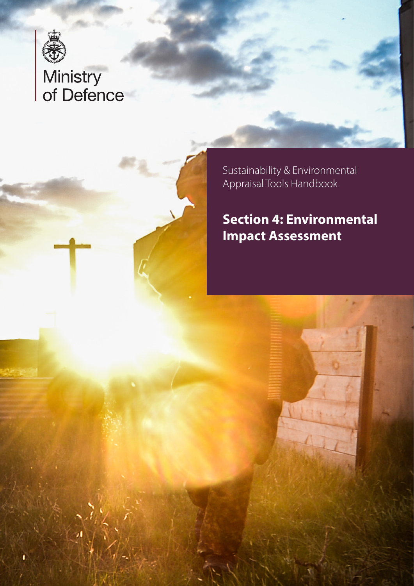

# Ministry<br>of Defence

Sustainability & Environmental Appraisal Tools Handbook

# **Section 4: Environmental Impact Assessment**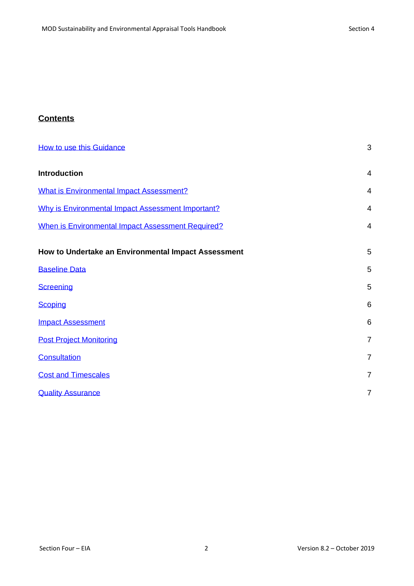# **Contents**

| How to use this Guidance                            | 3              |
|-----------------------------------------------------|----------------|
| <b>Introduction</b>                                 | $\overline{4}$ |
| <b>What is Environmental Impact Assessment?</b>     | $\overline{4}$ |
| Why is Environmental Impact Assessment Important?   | 4              |
| When is Environmental Impact Assessment Required?   | $\overline{4}$ |
| How to Undertake an Environmental Impact Assessment | 5              |
| <b>Baseline Data</b>                                | 5              |
| <b>Screening</b>                                    | 5              |
| <b>Scoping</b>                                      | 6              |
| <b>Impact Assessment</b>                            | 6              |
| <b>Post Project Monitoring</b>                      | $\overline{7}$ |
| <b>Consultation</b>                                 | $\overline{7}$ |
| <b>Cost and Timescales</b>                          | $\overline{7}$ |
| <b>Quality Assurance</b>                            | $\overline{7}$ |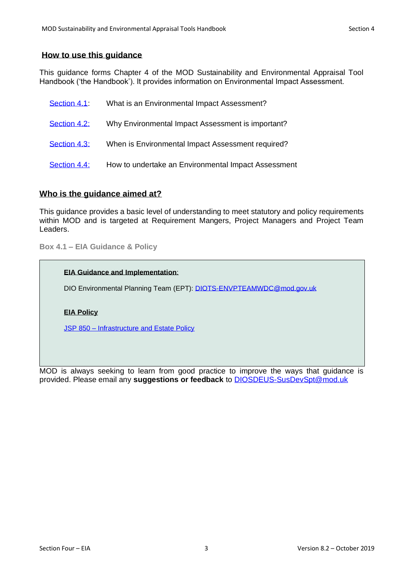#### <span id="page-2-0"></span>**How to use this guidance**

This guidance forms Chapter 4 of the MOD Sustainability and Environmental Appraisal Tool Handbook ('the Handbook'). It provides information on Environmental Impact Assessment.

| Section 4.1  | What is an Environmental Impact Assessment?         |
|--------------|-----------------------------------------------------|
| Section 4.2: | Why Environmental Impact Assessment is important?   |
| Section 4.3: | When is Environmental Impact Assessment required?   |
| Section 4.4: | How to undertake an Environmental Impact Assessment |

# **Who is the guidance aimed at?**

This guidance provides a basic level of understanding to meet statutory and policy requirements within MOD and is targeted at Requirement Mangers, Project Managers and Project Team Leaders.

<span id="page-2-1"></span>**Box 4.1 – EIA Guidance & Policy**

#### **EIA Guidance and Implementation**:

DIO Environmental Planning Team (EPT): [DIOTS-ENVPTEAMWDC@mod.gov.uk](mailto:DIOTS-ENVPTEAMWDC@mod.gov.uk)

#### **EIA Policy**

JSP 850 – [Infrastructure and Estate Policy](https://modgovuk.sharepoint.com/sites/defnet/HOCS/Pages/JSP850.aspx)

MOD is always seeking to learn from good practice to improve the ways that guidance is provided. Please email any **suggestions or feedback** to [DIOSDEUS-SusDevSpt@mod.uk](mailto:DIOSDEUS-SusDevSpt@mod.uk)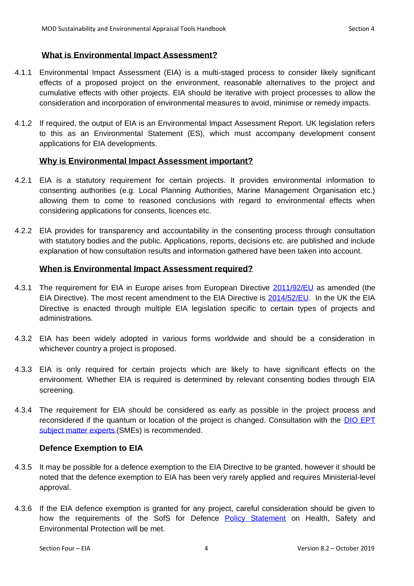# <span id="page-3-0"></span>**What is Environmental Impact Assessment?**

- 4.1.1 Environmental Impact Assessment (EIA) is a multi-staged process to consider likely significant effects of a proposed project on the environment, reasonable alternatives to the project and cumulative effects with other projects. EIA should be iterative with project processes to allow the consideration and incorporation of environmental measures to avoid, minimise or remedy impacts.
- 4.1.2 If required, the output of EIA is an Environmental Impact Assessment Report. UK legislation refers to this as an Environmental Statement (ES), which must accompany development consent applications for EIA developments.

# <span id="page-3-1"></span>**Why is Environmental Impact Assessment important?**

- 4.2.1 EIA is a statutory requirement for certain projects. It provides environmental information to consenting authorities (e.g. Local Planning Authorities, Marine Management Organisation etc.) allowing them to come to reasoned conclusions with regard to environmental effects when considering applications for consents, licences etc.
- 4.2.2 EIA provides for transparency and accountability in the consenting process through consultation with statutory bodies and the public. Applications, reports, decisions etc. are published and include explanation of how consultation results and information gathered have been taken into account.

#### <span id="page-3-2"></span>**When is Environmental Impact Assessment required?**

- 4.3.1 The requirement for EIA in Europe arises from European Directive [2011/92/EU](http://eur-lex.europa.eu/LexUriServ/LexUriServ.do?uri=OJ:L:2012:026:0001:0021:En:PDF) as amended (the EIA Directive). The most recent amendment to the EIA Directive is [2014/52/EU.](http://eur-lex.europa.eu/legal-content/EN/TXT/?uri=celex%3A32014L0052) In the UK the EIA Directive is enacted through multiple EIA legislation specific to certain types of projects and administrations.
- 4.3.2 EIA has been widely adopted in various forms worldwide and should be a consideration in whichever country a project is proposed.
- 4.3.3 EIA is only required for certain projects which are likely to have significant effects on the environment. Whether EIA is required is determined by relevant consenting bodies through EIA screening.
- 4.3.4 The requirement for EIA should be considered as early as possible in the project process and reconsidered if the quantum or location of the project is changed. Consultation with the **DIO EPT** [subject matter experts](#page-2-1) (SMEs) is recommended.

#### **Defence Exemption to EIA**

- 4.3.5 It may be possible for a defence exemption to the EIA Directive to be granted, however it should be noted that the defence exemption to EIA has been very rarely applied and requires Ministerial-level approval.
- 4.3.6 If the EIA defence exemption is granted for any project, careful consideration should be given to how the requirements of the SofS for Defence [Policy Statement](https://www.gov.uk/government/uploads/system/uploads/attachment_data/file/353935/201408_SofS_Policy_Statement_Fallon.pdf) on Health, Safety and Environmental Protection will be met.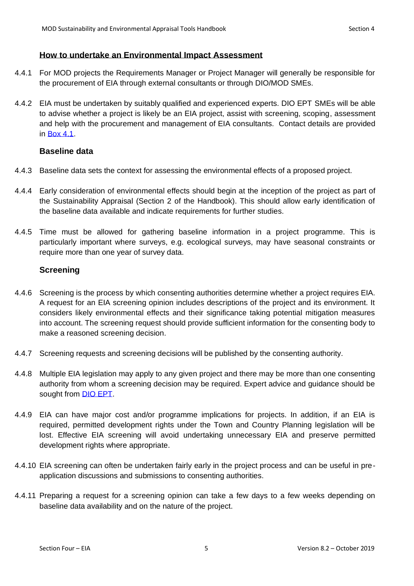#### <span id="page-4-0"></span>**How to undertake an Environmental Impact Assessment**

- 4.4.1 For MOD projects the Requirements Manager or Project Manager will generally be responsible for the procurement of EIA through external consultants or through DIO/MOD SMEs.
- 4.4.2 EIA must be undertaken by suitably qualified and experienced experts. DIO EPT SMEs will be able to advise whether a project is likely be an EIA project, assist with screening, scoping, assessment and help with the procurement and management of EIA consultants. Contact details are provided in [Box 4.1.](#page-2-1)

# <span id="page-4-1"></span>**Baseline data**

- 4.4.3 Baseline data sets the context for assessing the environmental effects of a proposed project.
- 4.4.4 Early consideration of environmental effects should begin at the inception of the project as part of the Sustainability Appraisal (Section 2 of the Handbook). This should allow early identification of the baseline data available and indicate requirements for further studies.
- 4.4.5 Time must be allowed for gathering baseline information in a project programme. This is particularly important where surveys, e.g. ecological surveys, may have seasonal constraints or require more than one year of survey data.

# <span id="page-4-2"></span>**Screening**

- 4.4.6 Screening is the process by which consenting authorities determine whether a project requires EIA. A request for an EIA screening opinion includes descriptions of the project and its environment. It considers likely environmental effects and their significance taking potential mitigation measures into account. The screening request should provide sufficient information for the consenting body to make a reasoned screening decision.
- 4.4.7 Screening requests and screening decisions will be published by the consenting authority.
- 4.4.8 Multiple EIA legislation may apply to any given project and there may be more than one consenting authority from whom a screening decision may be required. Expert advice and guidance should be sought from [DIO EPT.](#page-2-1)
- 4.4.9 EIA can have major cost and/or programme implications for projects. In addition, if an EIA is required, permitted development rights under the Town and Country Planning legislation will be lost. Effective EIA screening will avoid undertaking unnecessary EIA and preserve permitted development rights where appropriate.
- 4.4.10 EIA screening can often be undertaken fairly early in the project process and can be useful in preapplication discussions and submissions to consenting authorities.
- 4.4.11 Preparing a request for a screening opinion can take a few days to a few weeks depending on baseline data availability and on the nature of the project.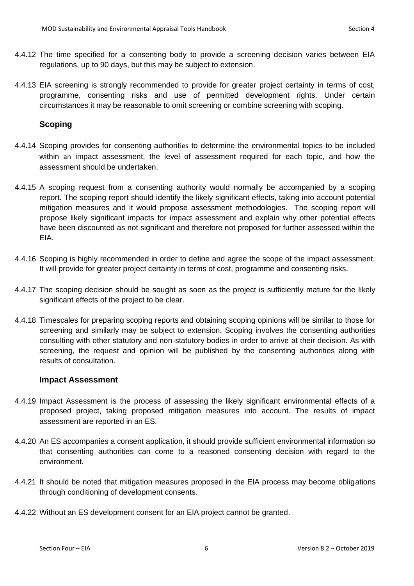- 4.4.12 The time specified for a consenting body to provide a screening decision varies between EIA regulations, up to 90 days, but this may be subject to extension.
- 4.4.13 EIA screening is strongly recommended to provide for greater project certainty in terms of cost, programme, consenting risks and use of permitted development rights. Under certain circumstances it may be reasonable to omit screening or combine screening with scoping.

#### <span id="page-5-0"></span>**Scoping**

- 4.4.14 Scoping provides for consenting authorities to determine the environmental topics to be included within an impact assessment, the level of assessment required for each topic, and how the assessment should be undertaken.
- 4.4.15 A scoping request from a consenting authority would normally be accompanied by a scoping report. The scoping report should identify the likely significant effects, taking into account potential mitigation measures and it would propose assessment methodologies. The scoping report will propose likely significant impacts for impact assessment and explain why other potential effects have been discounted as not significant and therefore not proposed for further assessed within the EIA.
- 4.4.16 Scoping is highly recommended in order to define and agree the scope of the impact assessment. It will provide for greater project certainty in terms of cost, programme and consenting risks.
- 4.4.17 The scoping decision should be sought as soon as the project is sufficiently mature for the likely significant effects of the project to be clear.
- 4.4.18 Timescales for preparing scoping reports and obtaining scoping opinions will be similar to those for screening and similarly may be subject to extension. Scoping involves the consenting authorities consulting with other statutory and non-statutory bodies in order to arrive at their decision. As with screening, the request and opinion will be published by the consenting authorities along with results of consultation.

#### <span id="page-5-1"></span>**Impact Assessment**

- 4.4.19 Impact Assessment is the process of assessing the likely significant environmental effects of a proposed project, taking proposed mitigation measures into account. The results of impact assessment are reported in an ES.
- 4.4.20 An ES accompanies a consent application, it should provide sufficient environmental information so that consenting authorities can come to a reasoned consenting decision with regard to the environment.
- 4.4.21 It should be noted that mitigation measures proposed in the EIA process may become obligations through conditioning of development consents.
- 4.4.22 Without an ES development consent for an EIA project cannot be granted.